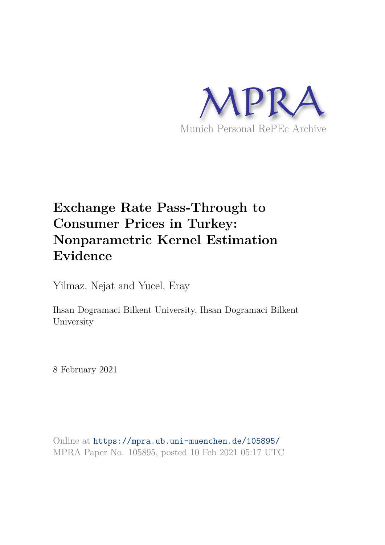

## **Exchange Rate Pass-Through to Consumer Prices in Turkey: Nonparametric Kernel Estimation Evidence**

Yilmaz, Nejat and Yucel, Eray

Ihsan Dogramaci Bilkent University, Ihsan Dogramaci Bilkent University

8 February 2021

Online at https://mpra.ub.uni-muenchen.de/105895/ MPRA Paper No. 105895, posted 10 Feb 2021 05:17 UTC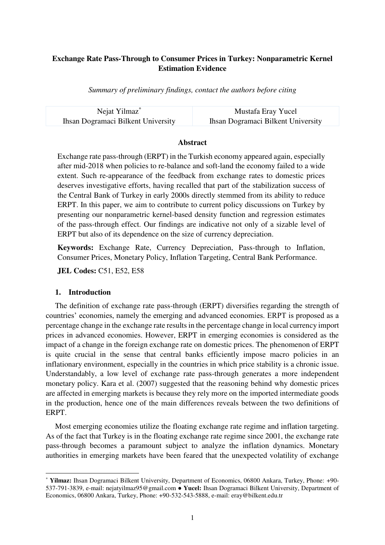#### **Exchange Rate Pass-Through to Consumer Prices in Turkey: Nonparametric Kernel Estimation Evidence**

*Summary of preliminary findings, contact the authors before citing* 

| Nejat Yilmaz <sup>*</sup>          | Mustafa Eray Yucel                        |
|------------------------------------|-------------------------------------------|
| Ihsan Dogramaci Bilkent University | <b>Ihsan Dogramaci Bilkent University</b> |

#### **Abstract**

Exchange rate pass-through (ERPT) in the Turkish economy appeared again, especially after mid-2018 when policies to re-balance and soft-land the economy failed to a wide extent. Such re-appearance of the feedback from exchange rates to domestic prices deserves investigative efforts, having recalled that part of the stabilization success of the Central Bank of Turkey in early 2000s directly stemmed from its ability to reduce ERPT. In this paper, we aim to contribute to current policy discussions on Turkey by presenting our nonparametric kernel-based density function and regression estimates of the pass-through effect. Our findings are indicative not only of a sizable level of ERPT but also of its dependence on the size of currency depreciation.

**Keywords:** Exchange Rate, Currency Depreciation, Pass-through to Inflation, Consumer Prices, Monetary Policy, Inflation Targeting, Central Bank Performance.

**JEL Codes:** C51, E52, E58

#### **1. Introduction**

 $\overline{a}$ 

The definition of exchange rate pass-through (ERPT) diversifies regarding the strength of countries' economies, namely the emerging and advanced economies. ERPT is proposed as a percentage change in the exchange rate results in the percentage change in local currency import prices in advanced economies. However, ERPT in emerging economies is considered as the impact of a change in the foreign exchange rate on domestic prices. The phenomenon of ERPT is quite crucial in the sense that central banks efficiently impose macro policies in an inflationary environment, especially in the countries in which price stability is a chronic issue. Understandably, a low level of exchange rate pass-through generates a more independent monetary policy. Kara et al. (2007) suggested that the reasoning behind why domestic prices are affected in emerging markets is because they rely more on the imported intermediate goods in the production, hence one of the main differences reveals between the two definitions of ERPT.

Most emerging economies utilize the floating exchange rate regime and inflation targeting. As of the fact that Turkey is in the floating exchange rate regime since 2001, the exchange rate pass-through becomes a paramount subject to analyze the inflation dynamics. Monetary authorities in emerging markets have been feared that the unexpected volatility of exchange

<sup>\*</sup> **Yilmaz:** Ihsan Dogramaci Bilkent University, Department of Economics, 06800 Ankara, Turkey, Phone: +90- 537-791-3839, e-mail: nejatyilmaz95@gmail.com ● **Yucel:** Ihsan Dogramaci Bilkent University, Department of Economics, 06800 Ankara, Turkey, Phone: +90-532-543-5888, e-mail: eray@bilkent.edu.tr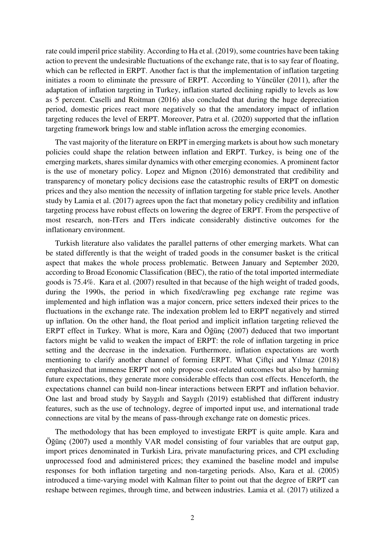rate could imperil price stability. According to Ha et al. (2019), some countries have been taking action to prevent the undesirable fluctuations of the exchange rate, that is to say fear of floating, which can be reflected in ERPT. Another fact is that the implementation of inflation targeting initiates a room to eliminate the pressure of ERPT. According to Yüncüler (2011), after the adaptation of inflation targeting in Turkey, inflation started declining rapidly to levels as low as 5 percent. Caselli and Roitman (2016) also concluded that during the huge depreciation period, domestic prices react more negatively so that the amendatory impact of inflation targeting reduces the level of ERPT. Moreover, Patra et al. (2020) supported that the inflation targeting framework brings low and stable inflation across the emerging economies.

The vast majority of the literature on ERPT in emerging markets is about how such monetary policies could shape the relation between inflation and ERPT. Turkey, is being one of the emerging markets, shares similar dynamics with other emerging economies. A prominent factor is the use of monetary policy. Lopez and Mignon (2016) demonstrated that credibility and transparency of monetary policy decisions ease the catastrophic results of ERPT on domestic prices and they also mention the necessity of inflation targeting for stable price levels. Another study by Lamia et al. (2017) agrees upon the fact that monetary policy credibility and inflation targeting process have robust effects on lowering the degree of ERPT. From the perspective of most research, non-ITers and ITers indicate considerably distinctive outcomes for the inflationary environment.

Turkish literature also validates the parallel patterns of other emerging markets. What can be stated differently is that the weight of traded goods in the consumer basket is the critical aspect that makes the whole process problematic. Between January and September 2020, according to Broad Economic Classification (BEC), the ratio of the total imported intermediate goods is 75.4%. Kara et al. (2007) resulted in that because of the high weight of traded goods, during the 1990s, the period in which fixed/crawling peg exchange rate regime was implemented and high inflation was a major concern, price setters indexed their prices to the fluctuations in the exchange rate. The indexation problem led to ERPT negatively and stirred up inflation. On the other hand, the float period and implicit inflation targeting relieved the ERPT effect in Turkey. What is more, Kara and Öğünç (2007) deduced that two important factors might be valid to weaken the impact of ERPT: the role of inflation targeting in price setting and the decrease in the indexation. Furthermore, inflation expectations are worth mentioning to clarify another channel of forming ERPT. What Çiftçi and Yılmaz (2018) emphasized that immense ERPT not only propose cost-related outcomes but also by harming future expectations, they generate more considerable effects than cost effects. Henceforth, the expectations channel can build non-linear interactions between ERPT and inflation behavior. One last and broad study by Saygılı and Saygılı (2019) established that different industry features, such as the use of technology, degree of imported input use, and international trade connections are vital by the means of pass-through exchange rate on domestic prices.

The methodology that has been employed to investigate ERPT is quite ample. Kara and Öğünç (2007) used a monthly VAR model consisting of four variables that are output gap, import prices denominated in Turkish Lira, private manufacturing prices, and CPI excluding unprocessed food and administered prices; they examined the baseline model and impulse responses for both inflation targeting and non-targeting periods. Also, Kara et al. (2005) introduced a time-varying model with Kalman filter to point out that the degree of ERPT can reshape between regimes, through time, and between industries. Lamia et al. (2017) utilized a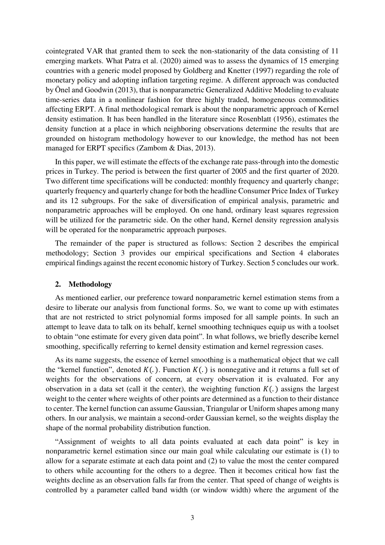cointegrated VAR that granted them to seek the non-stationarity of the data consisting of 11 emerging markets. What Patra et al. (2020) aimed was to assess the dynamics of 15 emerging countries with a generic model proposed by Goldberg and Knetter (1997) regarding the role of monetary policy and adopting inflation targeting regime. A different approach was conducted by Önel and Goodwin (2013), that is nonparametric Generalized Additive Modeling to evaluate time-series data in a nonlinear fashion for three highly traded, homogeneous commodities affecting ERPT. A final methodological remark is about the nonparametric approach of Kernel density estimation. It has been handled in the literature since Rosenblatt (1956), estimates the density function at a place in which neighboring observations determine the results that are grounded on histogram methodology however to our knowledge, the method has not been managed for ERPT specifics (Zambom & Dias, 2013).

In this paper, we will estimate the effects of the exchange rate pass-through into the domestic prices in Turkey. The period is between the first quarter of 2005 and the first quarter of 2020. Two different time specifications will be conducted: monthly frequency and quarterly change; quarterly frequency and quarterly change for both the headline Consumer Price Index of Turkey and its 12 subgroups. For the sake of diversification of empirical analysis, parametric and nonparametric approaches will be employed. On one hand, ordinary least squares regression will be utilized for the parametric side. On the other hand, Kernel density regression analysis will be operated for the nonparametric approach purposes.

The remainder of the paper is structured as follows: Section 2 describes the empirical methodology; Section 3 provides our empirical specifications and Section 4 elaborates empirical findings against the recent economic history of Turkey. Section 5 concludes our work.

#### **2. Methodology**

As mentioned earlier, our preference toward nonparametric kernel estimation stems from a desire to liberate our analysis from functional forms. So, we want to come up with estimates that are not restricted to strict polynomial forms imposed for all sample points. In such an attempt to leave data to talk on its behalf, kernel smoothing techniques equip us with a toolset to obtain "one estimate for every given data point". In what follows, we briefly describe kernel smoothing, specifically referring to kernel density estimation and kernel regression cases.

As its name suggests, the essence of kernel smoothing is a mathematical object that we call the "kernel function", denoted  $K(.)$ . Function  $K(.)$  is nonnegative and it returns a full set of weights for the observations of concern, at every observation it is evaluated. For any observation in a data set (call it the center), the weighting function  $K(.)$  assigns the largest weight to the center where weights of other points are determined as a function to their distance to center. The kernel function can assume Gaussian, Triangular or Uniform shapes among many others. In our analysis, we maintain a second-order Gaussian kernel, so the weights display the shape of the normal probability distribution function.

"Assignment of weights to all data points evaluated at each data point" is key in nonparametric kernel estimation since our main goal while calculating our estimate is (1) to allow for a separate estimate at each data point and (2) to value the most the center compared to others while accounting for the others to a degree. Then it becomes critical how fast the weights decline as an observation falls far from the center. That speed of change of weights is controlled by a parameter called band width (or window width) where the argument of the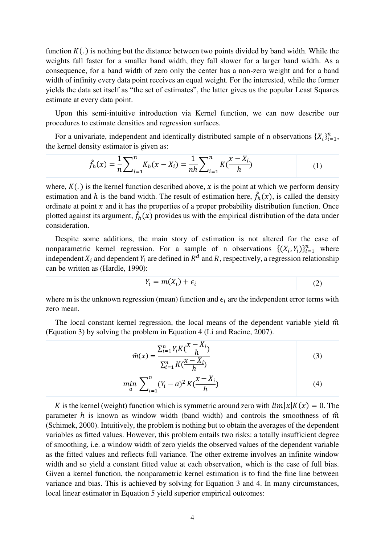function  $K(.)$  is nothing but the distance between two points divided by band width. While the weights fall faster for a smaller band width, they fall slower for a larger band width. As a consequence, for a band width of zero only the center has a non-zero weight and for a band width of infinity every data point receives an equal weight. For the interested, while the former yields the data set itself as "the set of estimates", the latter gives us the popular Least Squares estimate at every data point.

Upon this semi-intuitive introduction via Kernel function, we can now describe our procedures to estimate densities and regression surfaces.

For a univariate, independent and identically distributed sample of n observations  $\{X_i\}_{i=1}^n$ , the kernel density estimator is given as:

$$
\hat{f}_h(x) = \frac{1}{n} \sum_{i=1}^n K_h(x - X_i) = \frac{1}{nh} \sum_{i=1}^n K(\frac{x - X_i}{h})
$$
\n(1)

where,  $K(.)$  is the kernel function described above, x is the point at which we perform density estimation and h is the band width. The result of estimation here,  $\hat{f}_h(x)$ , is called the density ordinate at point  $x$  and it has the properties of a proper probability distribution function. Once plotted against its argument,  $\hat{f}_h(x)$  provides us with the empirical distribution of the data under consideration.

Despite some additions, the main story of estimation is not altered for the case of nonparametric kernel regression. For a sample of n observations  $\{(X_i, Y_i)\}_{i=1}^n$  where independent  $X_i$  and dependent  $Y_i$  are defined in  $R^d$  and R, respectively, a regression relationship can be written as (Hardle, 1990):

$$
Y_i = m(X_i) + \epsilon_i \tag{2}
$$

where m is the unknown regression (mean) function and  $\epsilon_i$  are the independent error terms with zero mean.

The local constant kernel regression, the local means of the dependent variable yield  $\hat{m}$ (Equation 3) by solving the problem in Equation 4 (Li and Racine, 2007).

$$
\widehat{m}(x) = \frac{\sum_{i=1}^{n} Y_i K(\frac{x - X_i}{h})}{\sum_{i=1}^{n} K(\frac{x - X_i}{h})}
$$
(3)

$$
\min_{a} \sum_{i=1}^{n} (Y_i - a)^2 K(\frac{x - X_i}{h})
$$
\n(4)

K is the kernel (weight) function which is symmetric around zero with  $\lim |x|K(x) = 0$ . The sympton h is known as window width (band width) and controls the smoothness of  $\hat{m}$ parameter h is known as window width (band width) and controls the smoothness of  $\hat{m}$ (Schimek, 2000). Intuitively, the problem is nothing but to obtain the averages of the dependent variables as fitted values. However, this problem entails two risks: a totally insufficient degree of smoothing, i.e. a window width of zero yields the observed values of the dependent variable as the fitted values and reflects full variance. The other extreme involves an infinite window width and so yield a constant fitted value at each observation, which is the case of full bias. Given a kernel function, the nonparametric kernel estimation is to find the fine line between variance and bias. This is achieved by solving for Equation 3 and 4. In many circumstances, local linear estimator in Equation 5 yield superior empirical outcomes: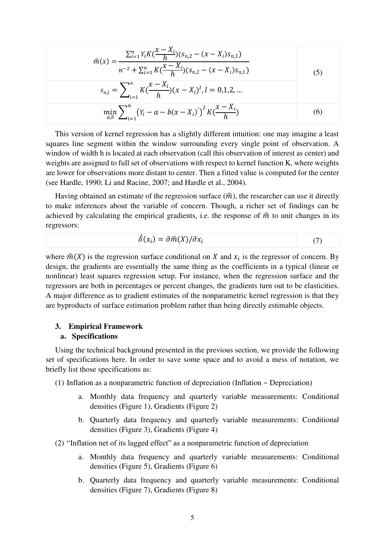$$
\widehat{m}(x) = \frac{\sum_{i=1}^{n} Y_i K(\frac{x - X_i}{h})(s_{n,2} - (x - X_i)s_{n,1})}{n^{-2} + \sum_{i=1}^{n} K(\frac{x - X_i}{h})(s_{n,2} - (x - X_i)s_{n,1})}
$$
(5)

$$
s_{n,l} = \sum_{i=1}^{n} K\left(\frac{x - X_i}{h}\right)(x - X_i)^l, l = 0, 1, 2, ...
$$
  

$$
\min_{a,b} \sum_{i=1}^{n} (Y_i - a - b(x - X_i))^2 K\left(\frac{x - X_i}{h}\right)
$$
(6)

This version of kernel regression has a slightly different intuition: one may imagine a least squares line segment within the window surrounding every single point of observation. A window of width h is located at each observation (call this observation of interest as center) and weights are assigned to full set of observations with respect to kernel function K, where weights are lower for observations more distant to center. Then a fitted value is computed for the center (see Hardle, 1990; Li and Racine, 2007; and Hardle et al., 2004).

Having obtained an estimate of the regression surface  $(\hat{m})$ , the researcher can use it directly to make inferences about the variable of concern. Though, a richer set of findings can be achieved by calculating the empirical gradients, i.e. the response of  $\hat{m}$  to unit changes in its regressors:

$$
\hat{\delta}(x_i) = \partial \hat{m}(X) / \partial x_i \tag{7}
$$

where  $\hat{m}(X)$  is the regression surface conditional on X and  $x_i$  is the regressor of concern. By design, the gradients are essentially the same thing as the coefficients in a typical (linear or nonlinear) least squares regression setup. For instance, when the regression surface and the regressors are both in percentages or percent changes, the gradients turn out to be elasticities. A major difference as to gradient estimates of the nonparametric kernel regression is that they are byproducts of surface estimation problem rather than being directly estimable objects.

## **3. Empirical Framework**

#### **a. Specifications**

Using the technical background presented in the previous section, we provide the following set of specifications here. In order to save some space and to avoid a mess of notation, we briefly list those specifications as:

- (1) Inflation as a nonparametric function of depreciation (Inflation ~ Depreciation)
	- a. Monthly data frequency and quarterly variable measurements: Conditional densities (Figure 1), Gradients (Figure 2)
	- b. Quarterly data frequency and quarterly variable measurements: Conditional densities (Figure 3), Gradients (Figure 4)
- (2) "Inflation net of its lagged effect" as a nonparametric function of depreciation
	- a. Monthly data frequency and quarterly variable measurements: Conditional densities (Figure 5), Gradients (Figure 6)
	- b. Quarterly data frequency and quarterly variable measurements: Conditional densities (Figure 7), Gradients (Figure 8)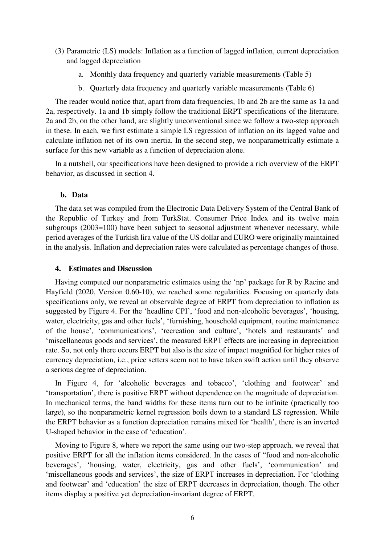- (3) Parametric (LS) models: Inflation as a function of lagged inflation, current depreciation and lagged depreciation
	- a. Monthly data frequency and quarterly variable measurements (Table 5)
	- b. Quarterly data frequency and quarterly variable measurements (Table 6)

The reader would notice that, apart from data frequencies, 1b and 2b are the same as 1a and 2a, respectively. 1a and 1b simply follow the traditional ERPT specifications of the literature. 2a and 2b, on the other hand, are slightly unconventional since we follow a two-step approach in these. In each, we first estimate a simple LS regression of inflation on its lagged value and calculate inflation net of its own inertia. In the second step, we nonparametrically estimate a surface for this new variable as a function of depreciation alone.

In a nutshell, our specifications have been designed to provide a rich overview of the ERPT behavior, as discussed in section 4.

#### **b. Data**

The data set was compiled from the Electronic Data Delivery System of the Central Bank of the Republic of Turkey and from TurkStat. Consumer Price Index and its twelve main subgroups (2003=100) have been subject to seasonal adjustment whenever necessary, while period averages of the Turkish lira value of the US dollar and EURO were originally maintained in the analysis. Inflation and depreciation rates were calculated as percentage changes of those.

#### **4. Estimates and Discussion**

Having computed our nonparametric estimates using the 'np' package for R by Racine and Hayfield (2020, Version 0.60-10), we reached some regularities. Focusing on quarterly data specifications only, we reveal an observable degree of ERPT from depreciation to inflation as suggested by Figure 4. For the 'headline CPI', 'food and non-alcoholic beverages', 'housing, water, electricity, gas and other fuels', 'furnishing, household equipment, routine maintenance of the house', 'communications', 'recreation and culture', 'hotels and restaurants' and 'miscellaneous goods and services', the measured ERPT effects are increasing in depreciation rate. So, not only there occurs ERPT but also is the size of impact magnified for higher rates of currency depreciation, i.e., price setters seem not to have taken swift action until they observe a serious degree of depreciation.

In Figure 4, for 'alcoholic beverages and tobacco', 'clothing and footwear' and 'transportation', there is positive ERPT without dependence on the magnitude of depreciation. In mechanical terms, the band widths for these items turn out to be infinite (practically too large), so the nonparametric kernel regression boils down to a standard LS regression. While the ERPT behavior as a function depreciation remains mixed for 'health', there is an inverted U-shaped behavior in the case of 'education'.

Moving to Figure 8, where we report the same using our two-step approach, we reveal that positive ERPT for all the inflation items considered. In the cases of "food and non-alcoholic beverages', 'housing, water, electricity, gas and other fuels', 'communication' and 'miscellaneous goods and services', the size of ERPT increases in depreciation. For 'clothing and footwear' and 'education' the size of ERPT decreases in depreciation, though. The other items display a positive yet depreciation-invariant degree of ERPT.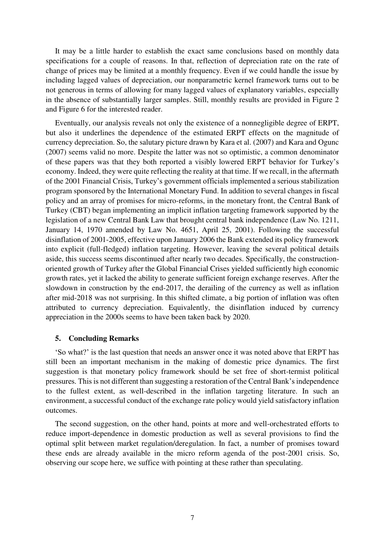It may be a little harder to establish the exact same conclusions based on monthly data specifications for a couple of reasons. In that, reflection of depreciation rate on the rate of change of prices may be limited at a monthly frequency. Even if we could handle the issue by including lagged values of depreciation, our nonparametric kernel framework turns out to be not generous in terms of allowing for many lagged values of explanatory variables, especially in the absence of substantially larger samples. Still, monthly results are provided in Figure 2 and Figure 6 for the interested reader.

Eventually, our analysis reveals not only the existence of a nonnegligible degree of ERPT, but also it underlines the dependence of the estimated ERPT effects on the magnitude of currency depreciation. So, the salutary picture drawn by Kara et al. (2007) and Kara and Ogunc (2007) seems valid no more. Despite the latter was not so optimistic, a common denominator of these papers was that they both reported a visibly lowered ERPT behavior for Turkey's economy. Indeed, they were quite reflecting the reality at that time. If we recall, in the aftermath of the 2001 Financial Crisis, Turkey's government officials implemented a serious stabilization program sponsored by the International Monetary Fund. In addition to several changes in fiscal policy and an array of promises for micro-reforms, in the monetary front, the Central Bank of Turkey (CBT) began implementing an implicit inflation targeting framework supported by the legislation of a new Central Bank Law that brought central bank independence (Law No. 1211, January 14, 1970 amended by Law No. 4651, April 25, 2001). Following the successful disinflation of 2001-2005, effective upon January 2006 the Bank extended its policy framework into explicit (full-fledged) inflation targeting. However, leaving the several political details aside, this success seems discontinued after nearly two decades. Specifically, the constructionoriented growth of Turkey after the Global Financial Crises yielded sufficiently high economic growth rates, yet it lacked the ability to generate sufficient foreign exchange reserves. After the slowdown in construction by the end-2017, the derailing of the currency as well as inflation after mid-2018 was not surprising. In this shifted climate, a big portion of inflation was often attributed to currency depreciation. Equivalently, the disinflation induced by currency appreciation in the 2000s seems to have been taken back by 2020.

#### **5. Concluding Remarks**

'So what?' is the last question that needs an answer once it was noted above that ERPT has still been an important mechanism in the making of domestic price dynamics. The first suggestion is that monetary policy framework should be set free of short-termist political pressures. This is not different than suggesting a restoration of the Central Bank's independence to the fullest extent, as well-described in the inflation targeting literature. In such an environment, a successful conduct of the exchange rate policy would yield satisfactory inflation outcomes.

The second suggestion, on the other hand, points at more and well-orchestrated efforts to reduce import-dependence in domestic production as well as several provisions to find the optimal split between market regulation/deregulation. In fact, a number of promises toward these ends are already available in the micro reform agenda of the post-2001 crisis. So, observing our scope here, we suffice with pointing at these rather than speculating.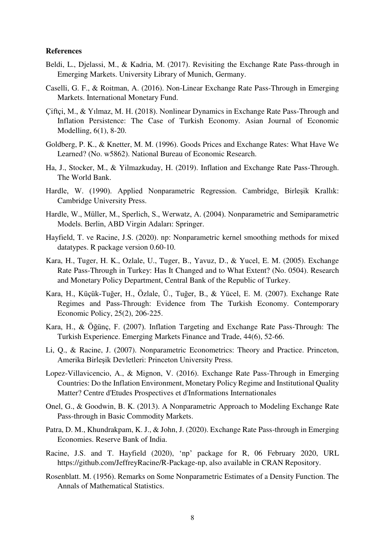#### **References**

- Beldi, L., Djelassi, M., & Kadria, M. (2017). Revisiting the Exchange Rate Pass-through in Emerging Markets. University Library of Munich, Germany.
- Caselli, G. F., & Roitman, A. (2016). Non-Linear Exchange Rate Pass-Through in Emerging Markets. International Monetary Fund.
- Çiftçi, M., & Yılmaz, M. H. (2018). Nonlinear Dynamics in Exchange Rate Pass-Through and Inflation Persistence: The Case of Turkish Economy. Asian Journal of Economic Modelling, 6(1), 8-20.
- Goldberg, P. K., & Knetter, M. M. (1996). Goods Prices and Exchange Rates: What Have We Learned? (No. w5862). National Bureau of Economic Research.
- Ha, J., Stocker, M., & Yilmazkuday, H. (2019). Inflation and Exchange Rate Pass-Through. The World Bank.
- Hardle, W. (1990). Applied Nonparametric Regression. Cambridge, Birleşik Krallık: Cambridge University Press.
- Hardle, W., Müller, M., Sperlich, S., Werwatz, A. (2004). Nonparametric and Semiparametric Models. Berlin, ABD Virgin Adaları: Springer.
- Hayfield, T. ve Racine, J.S. (2020). np: Nonparametric kernel smoothing methods for mixed datatypes. R package version 0.60-10.
- Kara, H., Tuger, H. K., Ozlale, U., Tuger, B., Yavuz, D., & Yucel, E. M. (2005). Exchange Rate Pass-Through in Turkey: Has It Changed and to What Extent? (No. 0504). Research and Monetary Policy Department, Central Bank of the Republic of Turkey.
- Kara, H., Küçük‐Tuğer, H., Özlale, Ü., Tuğer, B., & Yücel, E. M. (2007). Exchange Rate Regimes and Pass‐Through: Evidence from The Turkish Economy. Contemporary Economic Policy, 25(2), 206-225.
- Kara, H., & Öğünç, F. (2007). Inflation Targeting and Exchange Rate Pass-Through: The Turkish Experience. Emerging Markets Finance and Trade, 44(6), 52-66.
- Li, Q., & Racine, J. (2007). Nonparametric Econometrics: Theory and Practice. Princeton, Amerika Birleşik Devletleri: Princeton University Press.
- Lopez-Villavicencio, A., & Mignon, V. (2016). Exchange Rate Pass-Through in Emerging Countries: Do the Inflation Environment, Monetary Policy Regime and Institutional Quality Matter? Centre d'Etudes Prospectives et d'Informations Internationales
- Onel, G., & Goodwin, B. K. (2013). A Nonparametric Approach to Modeling Exchange Rate Pass-through in Basic Commodity Markets.
- Patra, D. M., Khundrakpam, K. J., & John, J. (2020). Exchange Rate Pass-through in Emerging Economies. Reserve Bank of India.
- Racine, J.S. and T. Hayfield (2020), 'np' package for R, 06 February 2020, URL https://github.com/JeffreyRacine/R-Package-np, also available in CRAN Repository.
- Rosenblatt. M. (1956). Remarks on Some Nonparametric Estimates of a Density Function. The Annals of Mathematical Statistics.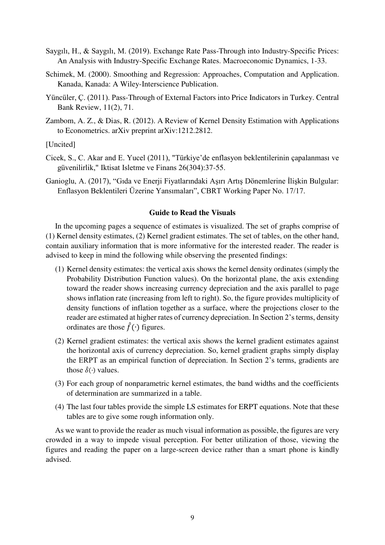- Saygılı, H., & Saygılı, M. (2019). Exchange Rate Pass-Through into Industry-Specific Prices: An Analysis with Industry-Specific Exchange Rates. Macroeconomic Dynamics, 1-33.
- Schimek, M. (2000). Smoothing and Regression: Approaches, Computation and Application. Kanada, Kanada: A Wiley-Interscience Publication.
- Yüncüler, Ç. (2011). Pass-Through of External Factors into Price Indicators in Turkey. Central Bank Review, 11(2), 71.
- Zambom, A. Z., & Dias, R. (2012). A Review of Kernel Density Estimation with Applications to Econometrics. arXiv preprint arXiv:1212.2812.

[Uncited]

- Cicek, S., C. Akar and E. Yucel (2011), "Türkiye'de enflasyon beklentilerinin çapalanması ve güvenilirlik," Iktisat Isletme ve Finans 26(304):37-55.
- Ganioglu, A. (2017), "Gıda ve Enerji Fiyatlarındaki Aşırı Artış Dönemlerine İlişkin Bulgular: Enflasyon Beklentileri Üzerine Yansımaları", CBRT Working Paper No. 17/17.

#### **Guide to Read the Visuals**

In the upcoming pages a sequence of estimates is visualized. The set of graphs comprise of (1) Kernel density estimates, (2) Kernel gradient estimates. The set of tables, on the other hand, contain auxiliary information that is more informative for the interested reader. The reader is advised to keep in mind the following while observing the presented findings:

- (1) Kernel density estimates: the vertical axis shows the kernel density ordinates (simply the Probability Distribution Function values). On the horizontal plane, the axis extending toward the reader shows increasing currency depreciation and the axis parallel to page shows inflation rate (increasing from left to right). So, the figure provides multiplicity of density functions of inflation together as a surface, where the projections closer to the reader are estimated at higher rates of currency depreciation. In Section 2's terms, density ordinates are those  $\hat{f}(\cdot)$  figures.
- (2) Kernel gradient estimates: the vertical axis shows the kernel gradient estimates against the horizontal axis of currency depreciation. So, kernel gradient graphs simply display the ERPT as an empirical function of depreciation. In Section 2's terms, gradients are those  $\hat{\delta}(\cdot)$  values.
- (3) For each group of nonparametric kernel estimates, the band widths and the coefficients of determination are summarized in a table.
- (4) The last four tables provide the simple LS estimates for ERPT equations. Note that these tables are to give some rough information only.

As we want to provide the reader as much visual information as possible, the figures are very crowded in a way to impede visual perception. For better utilization of those, viewing the figures and reading the paper on a large-screen device rather than a smart phone is kindly advised.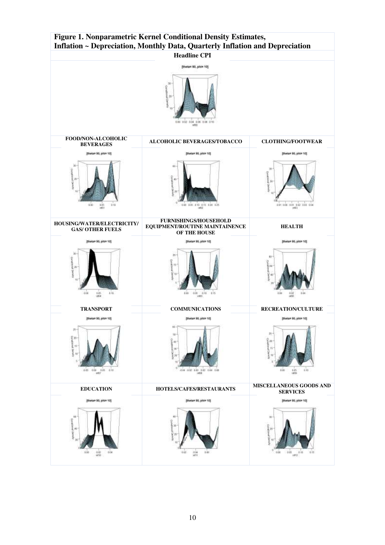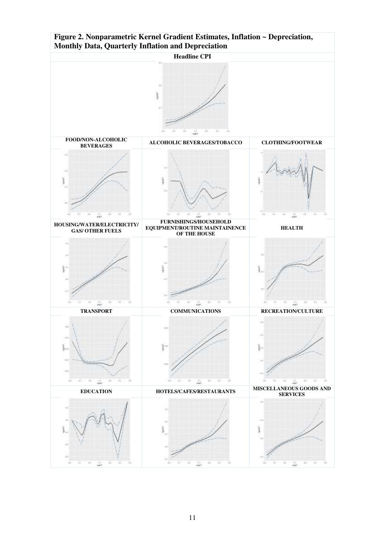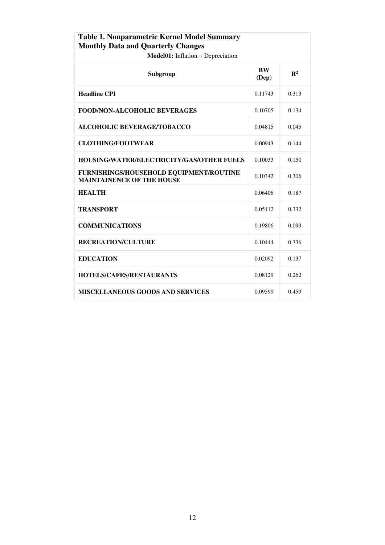| <b>Table 1. Nonparametric Kernel Model Summary</b><br><b>Monthly Data and Quarterly Changes</b> |                    |                |  |  |  |
|-------------------------------------------------------------------------------------------------|--------------------|----------------|--|--|--|
| Model01: Inflation ~ Depreciation                                                               |                    |                |  |  |  |
| Subgroup                                                                                        | <b>BW</b><br>(Dep) | $\mathbf{R}^2$ |  |  |  |
| <b>Headline CPI</b>                                                                             | 0.11743            | 0.313          |  |  |  |
| <b>FOOD/NON-ALCOHOLIC BEVERAGES</b>                                                             | 0.10705            | 0.134          |  |  |  |
| ALCOHOLIC BEVERAGE/TOBACCO                                                                      | 0.04815            | 0.045          |  |  |  |
| <b>CLOTHING/FOOTWEAR</b>                                                                        | 0.00943            | 0.144          |  |  |  |
| <b>HOUSING/WATER/ELECTRICITY/GAS/OTHER FUELS</b>                                                | 0.10033            | 0.150          |  |  |  |
| FURNISHINGS/HOUSEHOLD EQUIPMENT/ROUTINE<br><b>MAINTAINENCE OF THE HOUSE</b>                     | 0.10342            | 0.306          |  |  |  |
| <b>HEALTH</b>                                                                                   | 0.06406            | 0.187          |  |  |  |
| <b>TRANSPORT</b>                                                                                | 0.05412            | 0.332          |  |  |  |
| <b>COMMUNICATIONS</b>                                                                           | 0.19806            | 0.099          |  |  |  |
| <b>RECREATION/CULTURE</b>                                                                       | 0.10444            | 0.336          |  |  |  |
| <b>EDUCATION</b>                                                                                | 0.02092            | 0.137          |  |  |  |
| <b>HOTELS/CAFES/RESTAURANTS</b>                                                                 | 0.08129            | 0.262          |  |  |  |
| <b>MISCELLANEOUS GOODS AND SERVICES</b>                                                         | 0.09599            | 0.459          |  |  |  |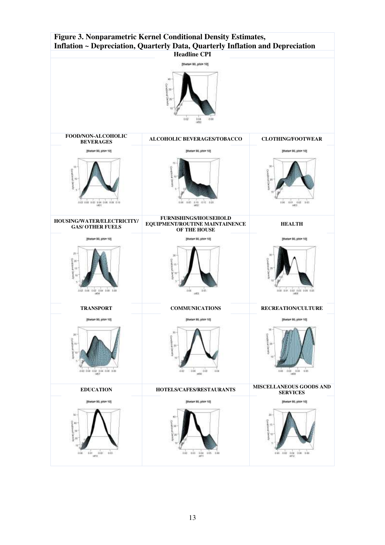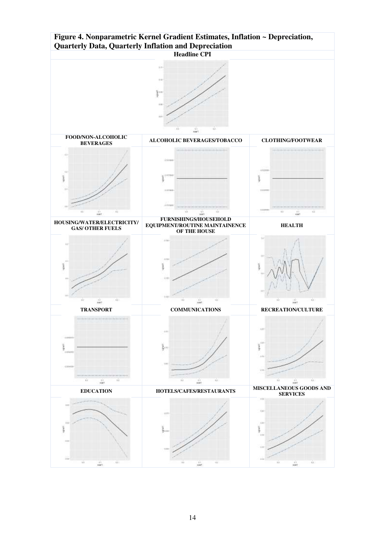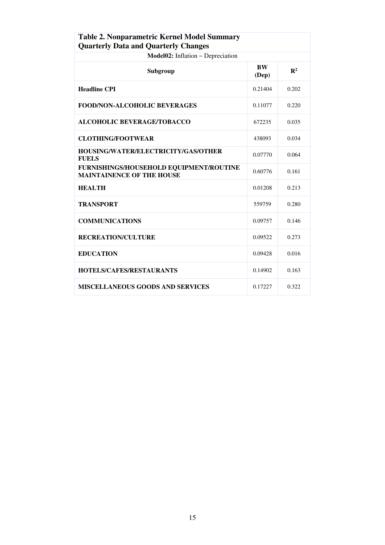| Table 2. Nonparametric Kernel Model Summary<br><b>Quarterly Data and Quarterly Changes</b> |                    |                |  |  |  |
|--------------------------------------------------------------------------------------------|--------------------|----------------|--|--|--|
| Model02: Inflation ~ Depreciation                                                          |                    |                |  |  |  |
| Subgroup                                                                                   | <b>BW</b><br>(Dep) | $\mathbf{R}^2$ |  |  |  |
| <b>Headline CPI</b>                                                                        | 0.21404            | 0.202          |  |  |  |
| <b>FOOD/NON-ALCOHOLIC BEVERAGES</b>                                                        | 0.11077            | 0.220          |  |  |  |
| <b>ALCOHOLIC BEVERAGE/TOBACCO</b>                                                          | 672235             | 0.035          |  |  |  |
| <b>CLOTHING/FOOTWEAR</b>                                                                   | 438093             | 0.034          |  |  |  |
| HOUSING/WATER/ELECTRICITY/GAS/OTHER<br><b>FUELS</b>                                        | 0.07770            | 0.064          |  |  |  |
| FURNISHINGS/HOUSEHOLD EQUIPMENT/ROUTINE<br><b>MAINTAINENCE OF THE HOUSE</b>                | 0.60776            | 0.161          |  |  |  |
| <b>HEALTH</b>                                                                              | 0.01208            | 0.213          |  |  |  |
| <b>TRANSPORT</b>                                                                           | 559759             | 0.280          |  |  |  |
| <b>COMMUNICATIONS</b>                                                                      | 0.09757            | 0.146          |  |  |  |
| <b>RECREATION/CULTURE</b>                                                                  | 0.09522            | 0.273          |  |  |  |
| <b>EDUCATION</b>                                                                           | 0.09428            | 0.016          |  |  |  |
| <b>HOTELS/CAFES/RESTAURANTS</b>                                                            | 0.14902            | 0.163          |  |  |  |
| <b>MISCELLANEOUS GOODS AND SERVICES</b>                                                    | 0.17227            | 0.322          |  |  |  |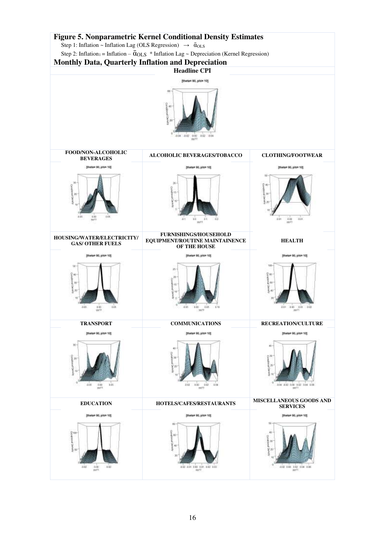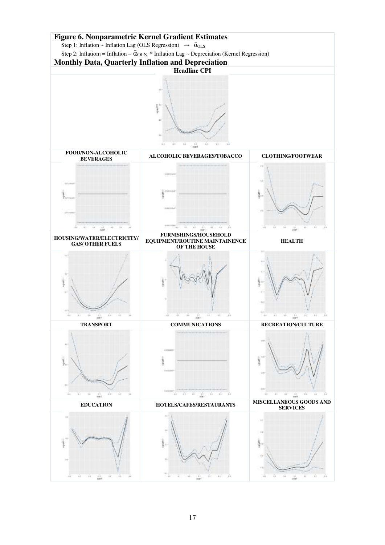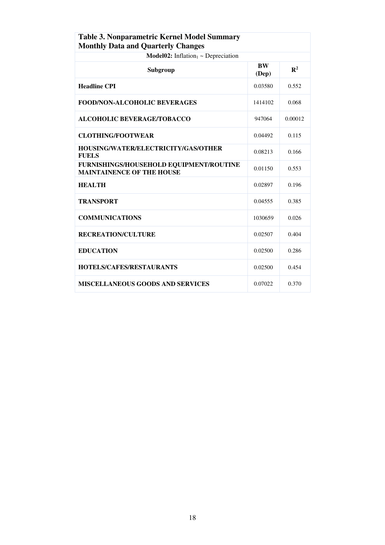| <b>Table 3. Nonparametric Kernel Model Summary</b><br><b>Monthly Data and Quarterly Changes</b> |         |         |  |  |  |
|-------------------------------------------------------------------------------------------------|---------|---------|--|--|--|
| <b>Model02:</b> Inflation <sub>1</sub> ~ Depreciation                                           |         |         |  |  |  |
| <b>BW</b><br>Subgroup<br>(Dep)                                                                  |         |         |  |  |  |
| <b>Headline CPI</b>                                                                             | 0.03580 | 0.552   |  |  |  |
| <b>FOOD/NON-ALCOHOLIC BEVERAGES</b>                                                             | 1414102 | 0.068   |  |  |  |
| <b>ALCOHOLIC BEVERAGE/TOBACCO</b>                                                               | 947064  | 0.00012 |  |  |  |
| <b>CLOTHING/FOOTWEAR</b>                                                                        | 0.04492 | 0.115   |  |  |  |
| HOUSING/WATER/ELECTRICITY/GAS/OTHER<br><b>FUELS</b>                                             | 0.08213 | 0.166   |  |  |  |
| FURNISHINGS/HOUSEHOLD EQUIPMENT/ROUTINE<br><b>MAINTAINENCE OF THE HOUSE</b>                     | 0.01150 | 0.553   |  |  |  |
| <b>HEALTH</b>                                                                                   | 0.02897 | 0.196   |  |  |  |
| <b>TRANSPORT</b>                                                                                | 0.04555 | 0.385   |  |  |  |
| <b>COMMUNICATIONS</b>                                                                           | 1030659 | 0.026   |  |  |  |
| <b>RECREATION/CULTURE</b>                                                                       | 0.02507 | 0.404   |  |  |  |
| <b>EDUCATION</b>                                                                                | 0.02500 | 0.286   |  |  |  |
| <b>HOTELS/CAFES/RESTAURANTS</b>                                                                 | 0.02500 | 0.454   |  |  |  |
| <b>MISCELLANEOUS GOODS AND SERVICES</b>                                                         | 0.07022 | 0.370   |  |  |  |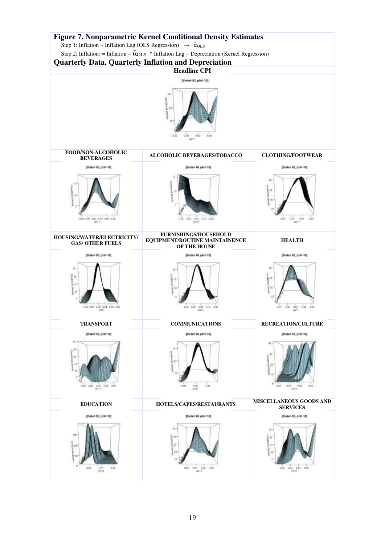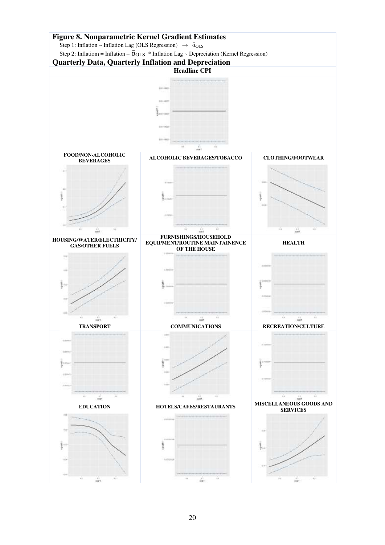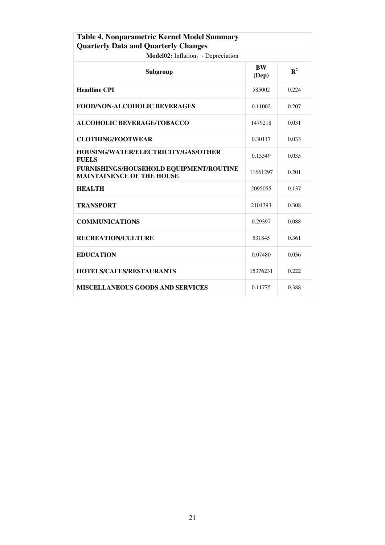| Table 4. Nonparametric Kernel Model Summary<br><b>Quarterly Data and Quarterly Changes</b> |                    |                |  |  |  |
|--------------------------------------------------------------------------------------------|--------------------|----------------|--|--|--|
| <b>Model02:</b> Inflation <sub>1</sub> ~ Depreciation                                      |                    |                |  |  |  |
| Subgroup                                                                                   | <b>BW</b><br>(Dep) | $\mathbb{R}^2$ |  |  |  |
| <b>Headline CPI</b>                                                                        | 585002             | 0.224          |  |  |  |
| FOOD/NON-ALCOHOLIC BEVERAGES                                                               | 0.11002            | 0.207          |  |  |  |
| ALCOHOLIC BEVERAGE/TOBACCO                                                                 | 1479218            | 0.031          |  |  |  |
| <b>CLOTHING/FOOTWEAR</b>                                                                   | 0.30117            | 0.033          |  |  |  |
| <b>HOUSING/WATER/ELECTRICITY/GAS/OTHER</b><br><b>FUELS</b>                                 | 0.13349            | 0.035          |  |  |  |
| FURNISHINGS/HOUSEHOLD EQUIPMENT/ROUTINE<br><b>MAINTAINENCE OF THE HOUSE</b>                | 11661297           | 0.201          |  |  |  |
| <b>HEALTH</b>                                                                              | 2095055            | 0.137          |  |  |  |
| <b>TRANSPORT</b>                                                                           | 2104393            | 0.308          |  |  |  |
| <b>COMMUNICATIONS</b>                                                                      | 0.29397            | 0.088          |  |  |  |
| <b>RECREATION/CULTURE</b>                                                                  | 531845             | 0.361          |  |  |  |
| <b>EDUCATION</b>                                                                           | 0.07480            | 0.036          |  |  |  |
| <b>HOTELS/CAFES/RESTAURANTS</b>                                                            | 15376231           | 0.222          |  |  |  |
| <b>MISCELLANEOUS GOODS AND SERVICES</b>                                                    | 0.11775            | 0.388          |  |  |  |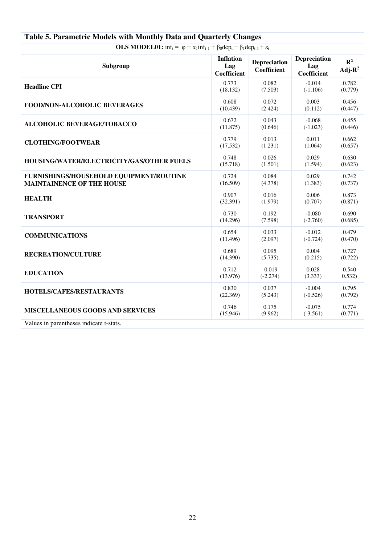| $\sigma$ . The dimension of $\sigma$ is the stronger $\sigma$ and $\sigma$ and $\sigma$ and $\sigma$ . Then $\sigma$                        |                                        |                                    |                                    |                            |  |
|---------------------------------------------------------------------------------------------------------------------------------------------|----------------------------------------|------------------------------------|------------------------------------|----------------------------|--|
| <b>OLS MODEL01:</b> $inf_t = \varphi + \alpha_1 inf_{t-1} + \beta_0 dep_t + \beta_1 dep_{t-1} + \varepsilon_t$                              |                                        |                                    |                                    |                            |  |
| Subgroup                                                                                                                                    | <b>Inflation</b><br>Lag<br>Coefficient | <b>Depreciation</b><br>Coefficient | Depreciation<br>Lag<br>Coefficient | $\mathbb{R}^2$<br>$Adj-R2$ |  |
| <b>Headline CPI</b>                                                                                                                         | 0.773                                  | 0.082                              | $-0.014$                           | 0.782                      |  |
|                                                                                                                                             | (18.132)                               | (7.503)                            | $(-1.106)$                         | (0.779)                    |  |
| FOOD/NON-ALCOHOLIC BEVERAGES                                                                                                                | 0.608                                  | 0.072                              | 0.003                              | 0.456                      |  |
|                                                                                                                                             | (10.439)                               | (2.424)                            | (0.112)                            | (0.447)                    |  |
| <b>ALCOHOLIC BEVERAGE/TOBACCO</b>                                                                                                           | 0.672                                  | 0.043                              | $-0.068$                           | 0.455                      |  |
|                                                                                                                                             | (11.875)                               | (0.646)                            | $(-1.023)$                         | (0.446)                    |  |
| <b>CLOTHING/FOOTWEAR</b>                                                                                                                    | 0.779                                  | 0.013                              | 0.011                              | 0.662                      |  |
|                                                                                                                                             | (17.532)                               | (1.231)                            | (1.064)                            | (0.657)                    |  |
| HOUSING/WATER/ELECTRICITY/GAS/OTHER FUELS                                                                                                   | 0.748                                  | 0.026                              | 0.029                              | 0.630                      |  |
|                                                                                                                                             | (15.718)                               | (1.501)                            | (1.594)                            | (0.623)                    |  |
| FURNISHINGS/HOUSEHOLD EQUIPMENT/ROUTINE                                                                                                     | 0.724                                  | 0.084                              | 0.029                              | 0.742                      |  |
| <b>MAINTAINENCE OF THE HOUSE</b>                                                                                                            | (16.509)                               | (4.378)                            | (1.383)                            | (0.737)                    |  |
| <b>HEALTH</b>                                                                                                                               | 0.907                                  | 0.016                              | 0.006                              | 0.873                      |  |
|                                                                                                                                             | (32.391)                               | (1.979)                            | (0.707)                            | (0.871)                    |  |
| <b>TRANSPORT</b>                                                                                                                            | 0.730                                  | 0.192                              | $-0.080$                           | 0.690                      |  |
|                                                                                                                                             | (14.296)                               | (7.598)                            | $(-2.760)$                         | (0.685)                    |  |
| <b>COMMUNICATIONS</b>                                                                                                                       | 0.654                                  | 0.033                              | $-0.012$                           | 0.479                      |  |
|                                                                                                                                             | (11.496)                               | (2.097)                            | $(-0.724)$                         | (0.470)                    |  |
| <b>RECREATION/CULTURE</b>                                                                                                                   | 0.689                                  | 0.095                              | 0.004                              | 0.727                      |  |
|                                                                                                                                             | (14.390)                               | (5.735)                            | (0.215)                            | (0.722)                    |  |
| <b>EDUCATION</b>                                                                                                                            | 0.712                                  | $-0.019$                           | 0.028                              | 0.540                      |  |
|                                                                                                                                             | (13.976)                               | $(-2.274)$                         | (3.333)                            | 0.532)                     |  |
| <b>HOTELS/CAFES/RESTAURANTS</b>                                                                                                             | 0.830                                  | 0.037                              | $-0.004$                           | 0.795                      |  |
|                                                                                                                                             | (22.369)                               | (5.243)                            | $(-0.526)$                         | (0.792)                    |  |
| <b>MISCELLANEOUS GOODS AND SERVICES</b>                                                                                                     | 0.746                                  | 0.175                              | $-0.075$                           | 0.774                      |  |
|                                                                                                                                             | (15.946)                               | (9.962)                            | $(-3.561)$                         | (0.771)                    |  |
| $\mathbf{X}^T$ and $\mathbf{X}$ are the second and $\mathbf{X}$ are the second $\mathbf{X}$ and $\mathbf{X}$ are the second of $\mathbf{X}$ |                                        |                                    |                                    |                            |  |

## **Table 5. Parametric Models with Monthly Data and Quarterly Changes**

Values in parentheses indicate t-stats.